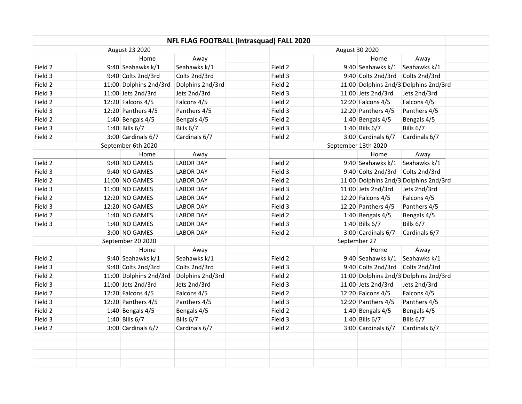|                |  |                        | NFL FLAG FOOTBALL (Intrasquad) FALL 2020 |  |                     |  |                        |                                       |  |
|----------------|--|------------------------|------------------------------------------|--|---------------------|--|------------------------|---------------------------------------|--|
| August 23 2020 |  |                        |                                          |  | August 30 2020      |  |                        |                                       |  |
|                |  | Home                   | Away                                     |  |                     |  | Home                   | Away                                  |  |
| Field 2        |  | 9:40 Seahawks k/1      | Seahawks k/1                             |  | Field 2             |  | 9:40 Seahawks k/1      | Seahawks k/1                          |  |
| Field 3        |  | 9:40 Colts 2nd/3rd     | Colts 2nd/3rd                            |  | Field 3             |  | 9:40 Colts 2nd/3rd     | Colts 2nd/3rd                         |  |
| Field 2        |  | 11:00 Dolphins 2nd/3rd | Dolphins 2nd/3rd                         |  | Field 2             |  |                        | 11:00 Dolphins 2nd/3 Dolphins 2nd/3rd |  |
| Field 3        |  | 11:00 Jets 2nd/3rd     | Jets 2nd/3rd                             |  | Field 3             |  | 11:00 Jets 2nd/3rd     | Jets 2nd/3rd                          |  |
| Field 2        |  | 12:20 Falcons 4/5      | Falcons 4/5                              |  | Field 2             |  | 12:20 Falcons 4/5      | Falcons 4/5                           |  |
| Field 3        |  | 12:20 Panthers $4/5$   | Panthers 4/5                             |  | Field 3             |  | 12:20 Panthers 4/5     | Panthers 4/5                          |  |
| Field 2        |  | 1:40 Bengals $4/5$     | Bengals 4/5                              |  | Field 2             |  | 1:40 Bengals $4/5$     | Bengals 4/5                           |  |
| Field 3        |  | 1:40 Bills 6/7         | Bills 6/7                                |  | Field 3             |  | 1:40 Bills $6/7$       | Bills 6/7                             |  |
| Field 2        |  | 3:00 Cardinals 6/7     | Cardinals 6/7                            |  | Field 2             |  | $3:00$ Cardinals $6/7$ | Cardinals 6/7                         |  |
|                |  | September 6th 2020     |                                          |  | September 13th 2020 |  |                        |                                       |  |
|                |  | Home                   | Away                                     |  |                     |  | Home                   | Away                                  |  |
| Field 2        |  | 9:40 NO GAMES          | <b>LABOR DAY</b>                         |  | Field 2             |  | 9:40 Seahawks k/1      | Seahawks k/1                          |  |
| Field 3        |  | 9:40 NO GAMES          | <b>LABOR DAY</b>                         |  | Field 3             |  | 9:40 Colts 2nd/3rd     | Colts 2nd/3rd                         |  |
| Field 2        |  | 11:00 NO GAMES         | <b>LABOR DAY</b>                         |  | Field 2             |  |                        | 11:00 Dolphins 2nd/3 Dolphins 2nd/3rd |  |
| Field 3        |  | 11:00 NO GAMES         | <b>LABOR DAY</b>                         |  | Field 3             |  | 11:00 Jets 2nd/3rd     | Jets 2nd/3rd                          |  |
| Field 2        |  | 12:20 NO GAMES         | <b>LABOR DAY</b>                         |  | Field 2             |  | 12:20 Falcons 4/5      | Falcons 4/5                           |  |
| Field 3        |  | 12:20 NO GAMES         | <b>LABOR DAY</b>                         |  | Field 3             |  | 12:20 Panthers $4/5$   | Panthers 4/5                          |  |
| Field 2        |  | 1:40 NO GAMES          | <b>LABOR DAY</b>                         |  | Field 2             |  | 1:40 Bengals $4/5$     | Bengals 4/5                           |  |
| Field 3        |  | $1:40$ NO GAMES        | <b>LABOR DAY</b>                         |  | Field 3             |  | 1:40 Bills $6/7$       | Bills 6/7                             |  |
|                |  | 3:00 NO GAMES          | <b>LABOR DAY</b>                         |  | Field 2             |  | $3:00$ Cardinals $6/7$ | Cardinals 6/7                         |  |
|                |  | September 20 2020      |                                          |  | September 27        |  |                        |                                       |  |
|                |  | Home                   | Away                                     |  |                     |  | Home                   | Away                                  |  |
| Field 2        |  | 9:40 Seahawks k/1      | Seahawks k/1                             |  | Field 2             |  | 9:40 Seahawks k/1      | Seahawks k/1                          |  |
| Field 3        |  | 9:40 Colts 2nd/3rd     | Colts 2nd/3rd                            |  | Field 3             |  | 9:40 Colts 2nd/3rd     | Colts 2nd/3rd                         |  |
| Field 2        |  | 11:00 Dolphins 2nd/3rd | Dolphins 2nd/3rd                         |  | Field 2             |  |                        | 11:00 Dolphins 2nd/3 Dolphins 2nd/3rd |  |
| Field 3        |  | 11:00 Jets 2nd/3rd     | Jets 2nd/3rd                             |  | Field 3             |  | 11:00 Jets 2nd/3rd     | Jets 2nd/3rd                          |  |
| Field 2        |  | 12:20 Falcons 4/5      | Falcons 4/5                              |  | Field 2             |  | 12:20 Falcons 4/5      | Falcons 4/5                           |  |
| Field 3        |  | 12:20 Panthers 4/5     | Panthers 4/5                             |  | Field 3             |  | 12:20 Panthers 4/5     | Panthers 4/5                          |  |
| Field 2        |  | 1:40 Bengals $4/5$     | Bengals 4/5                              |  | Field 2             |  | 1:40 Bengals $4/5$     | Bengals 4/5                           |  |
| Field 3        |  | 1:40 Bills 6/7         | Bills 6/7                                |  | Field 3             |  | 1:40 Bills $6/7$       | Bills 6/7                             |  |
| Field 2        |  | 3:00 Cardinals 6/7     | Cardinals 6/7                            |  | Field 2             |  | $3:00$ Cardinals $6/7$ | Cardinals 6/7                         |  |
|                |  |                        |                                          |  |                     |  |                        |                                       |  |
|                |  |                        |                                          |  |                     |  |                        |                                       |  |
|                |  |                        |                                          |  |                     |  |                        |                                       |  |
|                |  |                        |                                          |  |                     |  |                        |                                       |  |